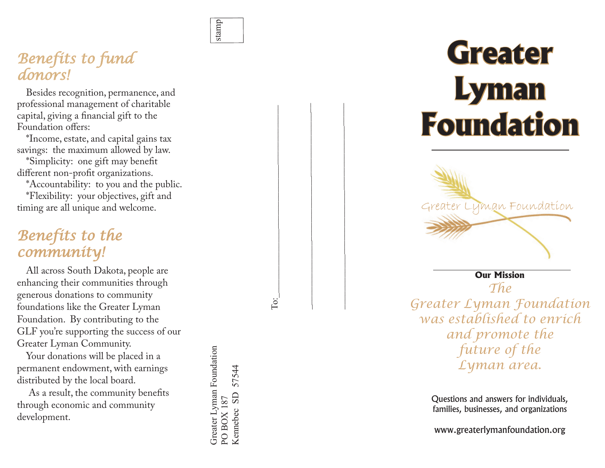

To:

<u>io:</u>

 $\mathcal{L}_\text{max}$  and the contract of the contract of the contract of the contract of the contract of the contract of the contract of the contract of the contract of the contract of the contract of the contract of the contrac

 $\mathcal{L}_\text{max}$  and the contract of the contract of the contract of the contract of the contract of the contract of the contract of the contract of the contract of the contract of the contract of the contract of the contrac

# *Benefits to fund donors!*

Besides recognition, permanence, and professional management of charitable capital, giving a financial gift to the Foundation offers:

\*Income, estate, and capital gains tax savings: the maximum allowed by law.

\*Simplicity: one gift may benefit different non-profit organizations.

\*Accountability: to you and the public. \*Flexibility: your objectives, gift and timing are all unique and welcome.

# *Benefits to the community!*

All across South Dakota, people are enhancing their communities through generous donations to community foundations like the Greater Lyman Foundation. By contributing to the GLF you're supporting the success of our Greater Lyman Community.

Your donations will be placed in a permanent endowment, with earnings distributed by the local board.

 As a result, the community benefits through economic and community development.

Greater Lyman Foundation<br>PO BOX 187 Greater Lyman Foundation 57544 Kennebec SD 57544Kennebec SD **PO BOX 187** 

# **Greater Lyman Foundation**



Questions and answers for individuals, families, businesses, and organizations

www.greaterlymanfoundation.org